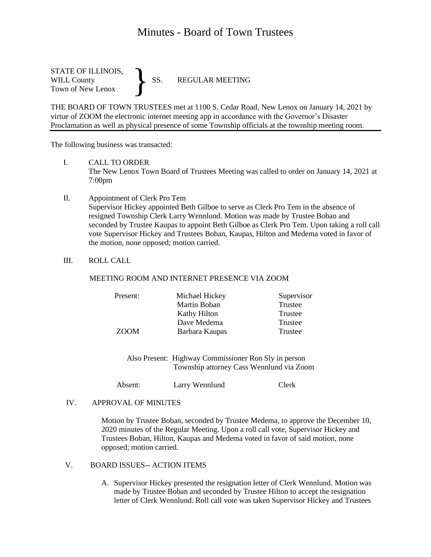## Minutes - Board of Town Trustees

STATE OF ILLINOIS, WILL County SS. REGULAR MEETING Town of New Lenox }

THE BOARD OF TOWN TRUSTEES met at 1100 S. Cedar Road, New Lenox on January 14, 2021 by virtue of ZOOM the electronic internet meeting app in accordance with the Governor's Disaster Proclamation as well as physical presence of some Township officials at the township meeting room.

The following business was transacted:

I. CALL TO ORDER

The New Lenox Town Board of Trustees Meeting was called to order on January 14, 2021 at 7:00pm

- II. Appointment of Clerk Pro Tem Supervisor Hickey appointed Beth Gilboe to serve as Clerk Pro Tem in the absence of resigned Township Clerk Larry Wennlund. Motion was made by Trustee Boban and seconded by Trustee Kaupas to appoint Beth Gilboe as Clerk Pro Tem. Upon taking a roll call vote Supervisor Hickey and Trustees Boban, Kaupas, Hilton and Medema voted in favor of the motion, none opposed; motion carried.
- III. ROLL CALL

## MEETING ROOM AND INTERNET PRESENCE VIA ZOOM

| Present:    | Michael Hickey | Supervisor |
|-------------|----------------|------------|
|             | Martin Boban   | Trustee    |
|             | Kathy Hilton   | Trustee    |
|             | Dave Medema    | Trustee    |
| <b>ZOOM</b> | Barbara Kaupas | Trustee    |

Also Present: Highway Commissioner Ron Sly in person Township attorney Cass Wennlund via Zoom

Absent: Larry Wennlund Clerk

## IV. APPROVAL OF MINUTES

Motion by Trustee Boban, seconded by Trustee Medema, to approve the December 10, 2020 minutes of the Regular Meeting. Upon a roll call vote, Supervisor Hickey and Trustees Boban, Hilton, Kaupas and Medema voted in favor of said motion, none opposed; motion carried.

## V. BOARD ISSUES-- ACTION ITEMS

A. Supervisor Hickey presented the resignation letter of Clerk Wennlund. Motion was made by Trustee Boban and seconded by Trustee Hilton to accept the resignation letter of Clerk Wennlund. Roll call vote was taken Supervisor Hickey and Trustees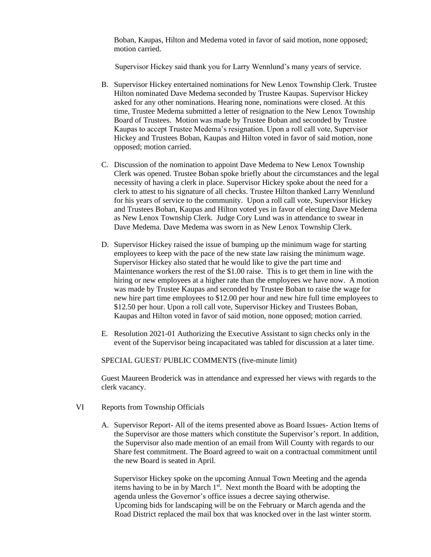Boban, Kaupas, Hilton and Medema voted in favor of said motion, none opposed; motion carried.

Supervisor Hickey said thank you for Larry Wennlund's many years of service.

- B. Supervisor Hickey entertained nominations for New Lenox Township Clerk. Trustee Hilton nominated Dave Medema seconded by Trustee Kaupas. Supervisor Hickey asked for any other nominations. Hearing none, nominations were closed. At this time, Trustee Medema submitted a letter of resignation to the New Lenox Township Board of Trustees. Motion was made by Trustee Boban and seconded by Trustee Kaupas to accept Trustee Medema's resignation. Upon a roll call vote, Supervisor Hickey and Trustees Boban, Kaupas and Hilton voted in favor of said motion, none opposed; motion carried.
- C. Discussion of the nomination to appoint Dave Medema to New Lenox Township Clerk was opened. Trustee Boban spoke briefly about the circumstances and the legal necessity of having a clerk in place. Supervisor Hickey spoke about the need for a clerk to attest to his signature of all checks. Trustee Hilton thanked Larry Wennlund for his years of service to the community. Upon a roll call vote, Supervisor Hickey and Trustees Boban, Kaupas and Hilton voted yes in favor of electing Dave Medema as New Lenox Township Clerk. Judge Cory Lund was in attendance to swear in Dave Medema. Dave Medema was sworn in as New Lenox Township Clerk.
- D. Supervisor Hickey raised the issue of bumping up the minimum wage for starting employees to keep with the pace of the new state law raising the minimum wage. Supervisor Hickey also stated that he would like to give the part time and Maintenance workers the rest of the \$1.00 raise. This is to get them in line with the hiring or new employees at a higher rate than the employees we have now. A motion was made by Trustee Kaupas and seconded by Trustee Boban to raise the wage for new hire part time employees to \$12.00 per hour and new hire full time employees to \$12.50 per hour. Upon a roll call vote, Supervisor Hickey and Trustees Boban, Kaupas and Hilton voted in favor of said motion, none opposed; motion carried.
- E. Resolution 2021-01 Authorizing the Executive Assistant to sign checks only in the event of the Supervisor being incapacitated was tabled for discussion at a later time.

SPECIAL GUEST/ PUBLIC COMMENTS (five-minute limit)

Guest Maureen Broderick was in attendance and expressed her views with regards to the clerk vacancy.

- VI Reports from Township Officials
	- A. Supervisor Report- All of the items presented above as Board Issues- Action Items of the Supervisor are those matters which constitute the Supervisor's report. In addition, the Supervisor also made mention of an email from Will County with regards to our Share fest commitment. The Board agreed to wait on a contractual commitment until the new Board is seated in April.

Supervisor Hickey spoke on the upcoming Annual Town Meeting and the agenda items having to be in by March  $1<sup>st</sup>$ . Next month the Board with be adopting the agenda unless the Governor's office issues a decree saying otherwise. Upcoming bids for landscaping will be on the February or March agenda and the Road District replaced the mail box that was knocked over in the last winter storm.